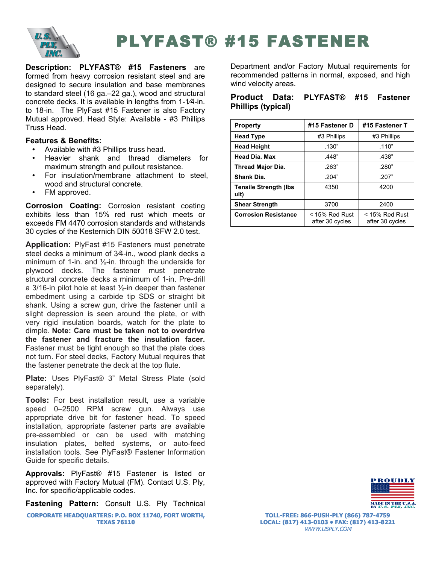

# PLYFAST® #15 FASTENER

**Description: PLYFAST® #15 Fasteners** are formed from heavy corrosion resistant steel and are designed to secure insulation and base membranes to standard steel (16 ga.–22 ga.), wood and structural concrete decks. It is available in lengths from 1-1⁄4-in. to 18-in. The PlyFast #15 Fastener is also Factory Mutual approved. Head Style: Available - #3 Phillips Truss Head.

# **Features & Benefits:**

- Available with #3 Phillips truss head.
- Heavier shank and thread diameters for maximum strength and pullout resistance.
- For insulation/membrane attachment to steel, wood and structural concrete.
- FM approved.

**Corrosion Coating:** Corrosion resistant coating exhibits less than 15% red rust which meets or exceeds FM 4470 corrosion standards and withstands 30 cycles of the Kesternich DIN 50018 SFW 2.0 test.

**Application:** PlyFast #15 Fasteners must penetrate steel decks a minimum of 3⁄4-in., wood plank decks a minimum of 1-in. and ½-in. through the underside for plywood decks. The fastener must penetrate structural concrete decks a minimum of 1-in. Pre-drill a 3/16-in pilot hole at least ½-in deeper than fastener embedment using a carbide tip SDS or straight bit shank. Using a screw gun, drive the fastener until a slight depression is seen around the plate, or with very rigid insulation boards, watch for the plate to dimple. **Note: Care must be taken not to overdrive the fastener and fracture the insulation facer.**  Fastener must be tight enough so that the plate does not turn. For steel decks, Factory Mutual requires that the fastener penetrate the deck at the top flute.

**Plate:** Uses PlyFast® 3" Metal Stress Plate (sold separately).

**Tools:** For best installation result, use a variable speed 0–2500 RPM screw gun. Always use appropriate drive bit for fastener head. To speed installation, appropriate fastener parts are available pre-assembled or can be used with matching insulation plates, belted systems, or auto-feed installation tools. See PlyFast® Fastener Information Guide for specific details.

**Approvals:** PlyFast® #15 Fastener is listed or approved with Factory Mutual (FM). Contact U.S. Ply, Inc. for specific/applicable codes.

**Fastening Pattern:** Consult U.S. Ply Technical

**CORPORATE HEADQUARTERS: P.O. BOX 11740, FORT WORTH, TEXAS 76110**

Department and/or Factory Mutual requirements for recommended patterns in normal, exposed, and high wind velocity areas.

## **Product Data: PLYFAST® #15 Fastener Phillips (typical)**

| <b>Property</b>                       | #15 Fastener D                      | #15 Fastener T                      |
|---------------------------------------|-------------------------------------|-------------------------------------|
| <b>Head Type</b>                      | #3 Phillips                         | #3 Phillips                         |
| <b>Head Height</b>                    | .130"                               | .110"                               |
| <b>Head Dia. Max</b>                  | .448"                               | .438"                               |
| <b>Thread Major Dia.</b>              | .263"                               | .280"                               |
| Shank Dia.                            | .204"                               | .207"                               |
| <b>Tensile Strength (Ibs)</b><br>ult) | 4350                                | 4200                                |
| <b>Shear Strength</b>                 | 3700                                | 2400                                |
| <b>Corrosion Resistance</b>           | $<$ 15% Red Rust<br>after 30 cycles | $<$ 15% Red Rust<br>after 30 cycles |



**TOLL-FREE: 866-PUSH-PLY (866) 787-4759 LOCAL: (817) 413-0103 • FAX: (817) 413-8221** WWW.USPLY.COM